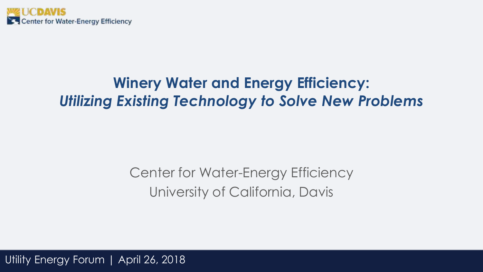

## **Winery Water and Energy Efficiency:** *Utilizing Existing Technology to Solve New Problems*

### Center for Water-Energy Efficiency University of California, Davis

Utility Energy Forum | April 26, 2018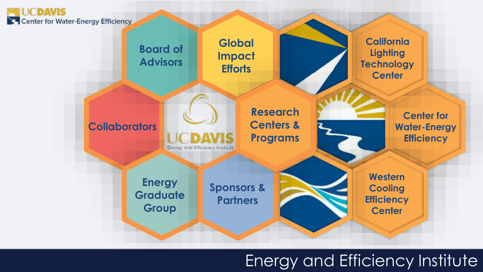

### Energy and Efficiency Institute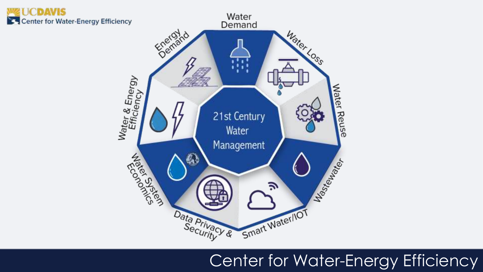

## Center for Water-Energy Efficiency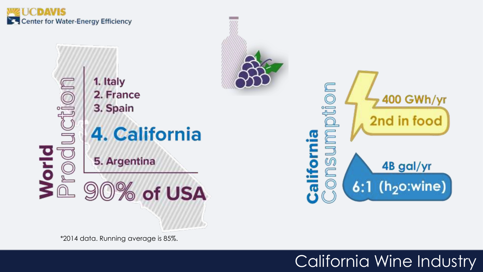



\*2014 data. Running average is 85%.

## California Wine Industry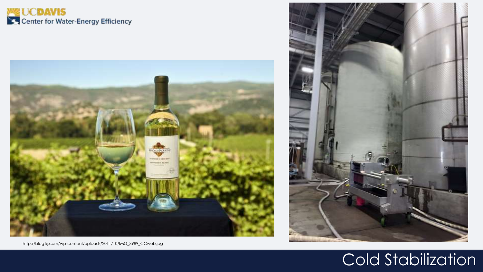# **WZ UCDAVIS**<br>Solution of Water-Energy Efficiency





http://blog.kj.com/wp-content/uploads/2011/10/IMG\_8989\_CCweb.jpg

# Cold Stabilization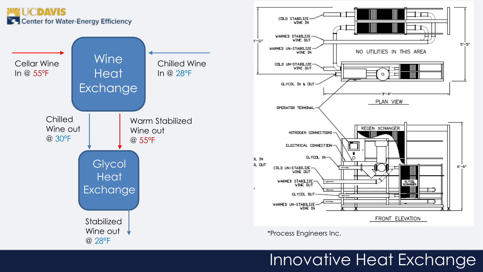### **CDAVIS** Center for Water-Energy Efficiency





\*Process Engineers Inc.

## Innovative Heat Exchange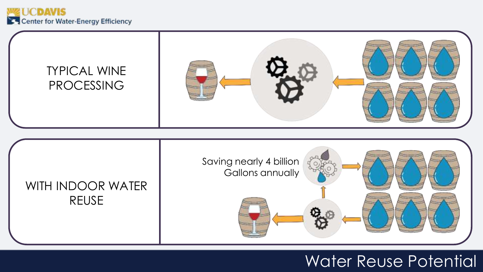



### Water Reuse Potential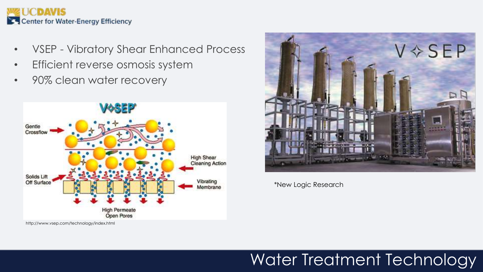

- VSEP Vibratory Shear Enhanced Process
- Efficient reverse osmosis system
- 90% clean water recovery





\*New Logic Research

http://www.vsep.com/technology/index.html

# Water Treatment Technology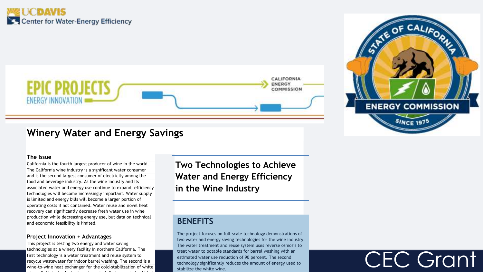### **WE UCDAVIS** Center for Water-Energy Efficiency





CEC Grant

### **Winery Water and Energy Savings**

#### **The Issue**

California is the fourth largest producer of wine in the world. The California wine industry is a significant water consumer and is the second largest consumer of electricity among the food and beverage industry. As the wine industry and its associated water and energy use continue to expand, efficiency technologies will become increasingly important. Water supply is limited and energy bills will become a larger portion of operating costs if not contained. Water reuse and novel heat recovery can significantly decrease fresh water use in wine production while decreasing energy use, but data on technical and economic feasibility is limited.

#### **Project Innovation + Advantages**

This project is testing two energy and water saving technologies at a winery facility in northern California. The first technology is a water treatment and reuse system to recycle wastewater for indoor barrel washing. The second is a wine-to-wine heat exchanger for the cold-stabilization of white wines. Both technologies have been installed on a single skid at

**Two Technologies to Achieve Water and Energy Efficiency in the Wine Industry** 

### **BENEFITS**

The project focuses on full-scale technology demonstrations of two water and energy saving technologies for the wine industry. The water treatment and reuse system uses reverse osmosis to treat water to potable standards for barrel washing with an estimated water use reduction of 90 percent. The second technology significantly reduces the amount of energy used to stabilize the white wine.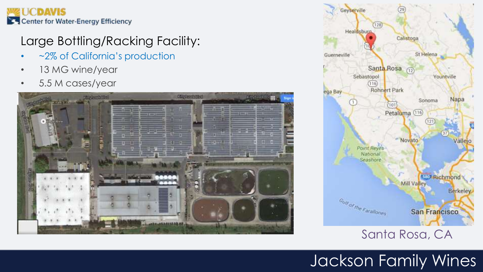

### Large Bottling/Racking Facility:

- ~2% of California's production
- 13 MG wine/year
- 5.5 M cases/year





### Santa Rosa, CA

# Jackson Family Wines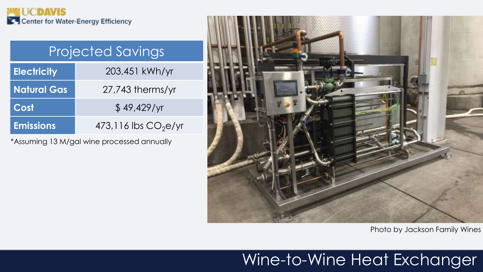

# Projected Savings

| <b>Electricity</b> | 203,451 kWh/yr          |  |
|--------------------|-------------------------|--|
| <b>Natural Gas</b> | $27,743$ therms/yr      |  |
| Cost               | \$49,429/yr             |  |
| <b>Emissions</b>   | $473,116$ lbs $CO2e/yr$ |  |

\*Assuming 13 M/gal wine processed annually



Photo by Jackson Family Wines

### Wine-to-Wine Heat Exchanger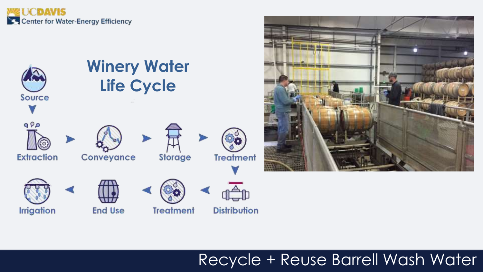





## Recycle + Reuse Barrell Wash Water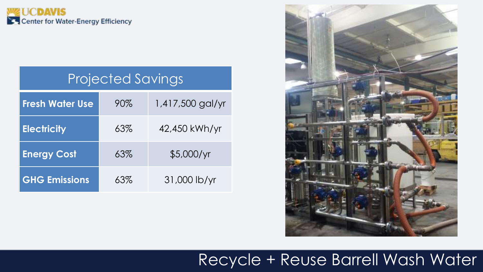

### Projected Savings

| <b>Fresh Water Use</b> | 90% | 1,417,500 gal/yr |
|------------------------|-----|------------------|
| <b>Electricity</b>     | 63% | 42,450 kWh/yr    |
| <b>Energy Cost</b>     | 63% | \$5,000/yr       |
| <b>GHG Emissions</b>   | 63% | 31,000 lb/yr     |



### Recycle + Reuse Barrell Wash Water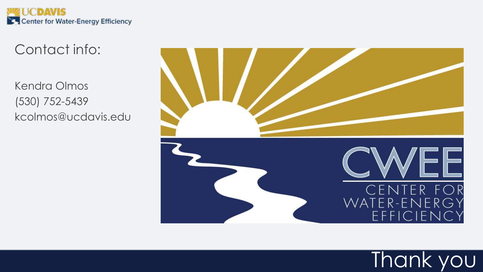

Contact info:

Kendra Olmos (530) 752-5439 kcolmos@ucdavis.edu



Thank you